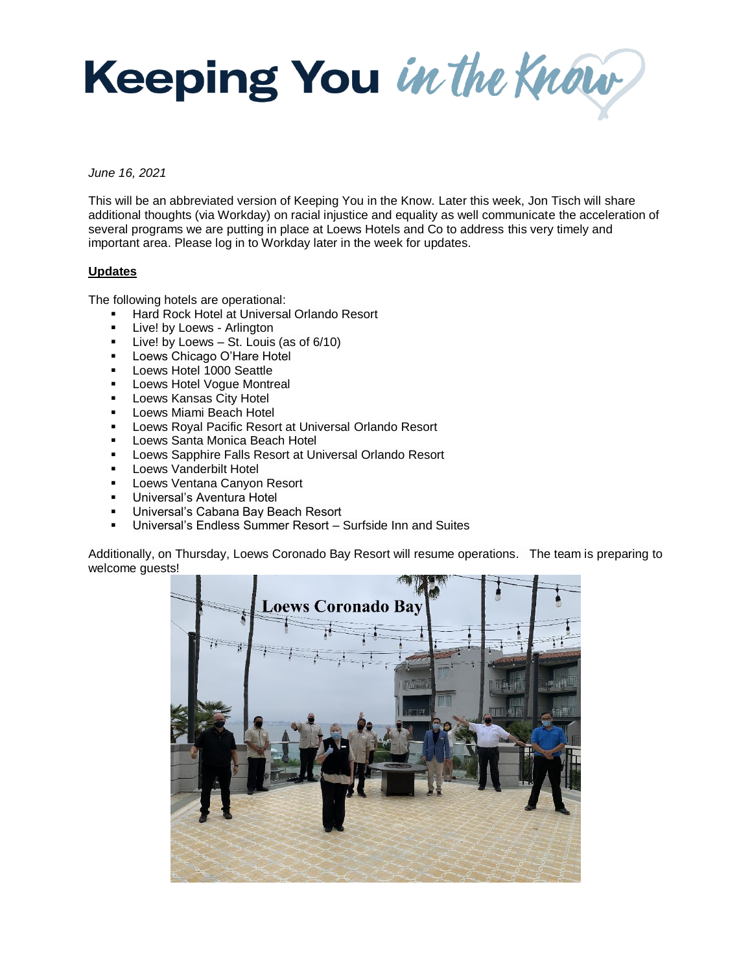Keeping You in the Know

*June 16, 2021*

This will be an abbreviated version of Keeping You in the Know. Later this week, Jon Tisch will share additional thoughts (via Workday) on racial injustice and equality as well communicate the acceleration of several programs we are putting in place at Loews Hotels and Co to address this very timely and important area. Please log in to Workday later in the week for updates.

## **Updates**

The following hotels are operational:

- **Hard Rock Hotel at Universal Orlando Resort**
- **Live! by Loews Arlington**
- $\blacksquare$  Live! by Loews St. Louis (as of 6/10)
- **Loews Chicago O'Hare Hotel**
- **Loews Hotel 1000 Seattle**
- **Loews Hotel Vogue Montreal**
- **Loews Kansas City Hotel**
- **Loews Miami Beach Hotel**
- **Loews Royal Pacific Resort at Universal Orlando Resort**
- **-** Loews Santa Monica Beach Hotel
- **Loews Sapphire Falls Resort at Universal Orlando Resort**
- **Loews Vanderbilt Hotel**
- **Loews Ventana Canyon Resort**
- **Universal's Aventura Hotel**
- **Universal's Cabana Bay Beach Resort**
- Universal's Endless Summer Resort Surfside Inn and Suites

Additionally, on Thursday, Loews Coronado Bay Resort will resume operations. The team is preparing to welcome guests!